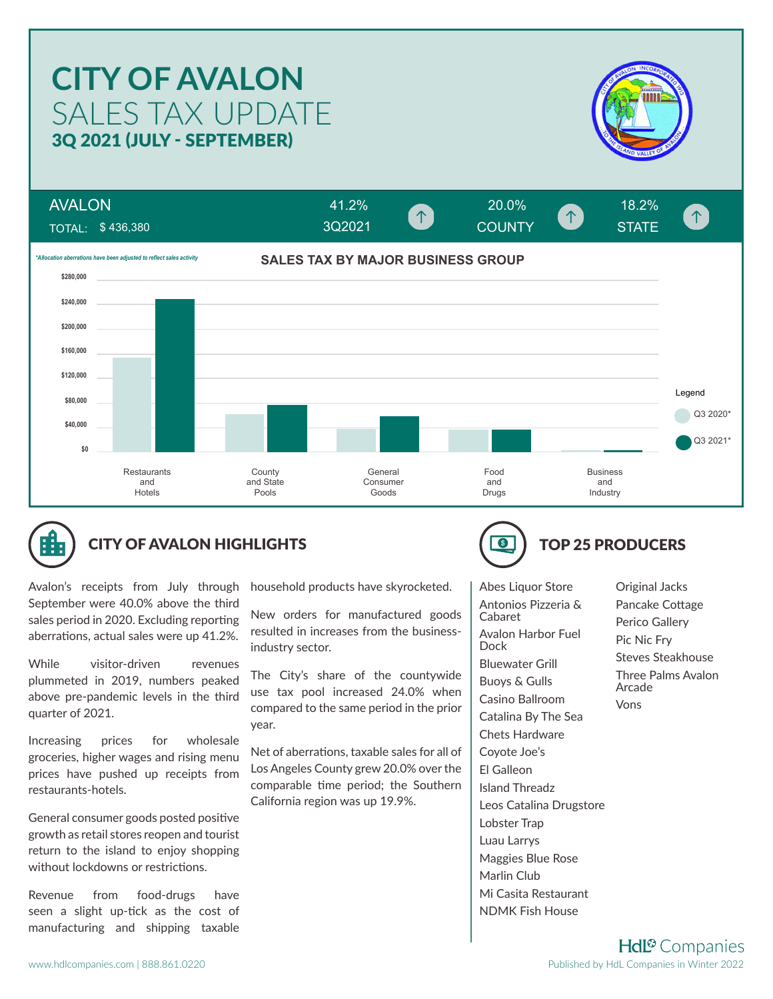# SALES TAX UPDATE **CITY OF AVALON** 3Q 2021 (JULY - SEPTEMBER)



AVALON 41.2% 20.0% 18.2%  $\uparrow$ COUNTY **COUNTY** STATE TOTAL: \$ 436,380 3Q2021**SALES TAX BY MAJOR BUSINESS GROUP** *\*Allocation aberrations have been adjusted to reflect sales activity* **\$280,000 \$240,000 \$200,000 \$160,000 \$120,000** Legend **\$80,000** Q3 2020<sup>\*</sup> **\$40,000** Q3 2021\* **\$0** Business **Restaurants County General** Food and State Consumer and and and Hotels Goods Industry Pools Drugs



## CITY OF AVALON HIGHLIGHTS **TOP 25 PRODUCERS**

Avalon's receipts from July through September were 40.0% above the third sales period in 2020. Excluding reporting aberrations, actual sales were up 41.2%.

While visitor-driven revenues plummeted in 2019, numbers peaked above pre-pandemic levels in the third quarter of 2021.

Increasing prices for wholesale groceries, higher wages and rising menu prices have pushed up receipts from restaurants-hotels.

General consumer goods posted positive growth as retail stores reopen and tourist return to the island to enjoy shopping without lockdowns or restrictions.

Revenue from food-drugs have seen a slight up-tick as the cost of manufacturing and shipping taxable

household products have skyrocketed.

New orders for manufactured goods resulted in increases from the businessindustry sector.

The City's share of the countywide use tax pool increased 24.0% when compared to the same period in the prior year.

Net of aberrations, taxable sales for all of Los Angeles County grew 20.0% over the comparable time period; the Southern California region was up 19.9%.



Abes Liquor Store Antonios Pizzeria & Cabaret Avalon Harbor Fuel Dock Bluewater Grill Buoys & Gulls Casino Ballroom Catalina By The Sea Chets Hardware Coyote Joe's El Galleon Island Threadz Leos Catalina Drugstore Lobster Trap Luau Larrys Maggies Blue Rose Marlin Club Mi Casita Restaurant NDMK Fish House

Original Jacks Pancake Cottage Perico Gallery Pic Nic Fry Steves Steakhouse Three Palms Avalon Arcade Vons